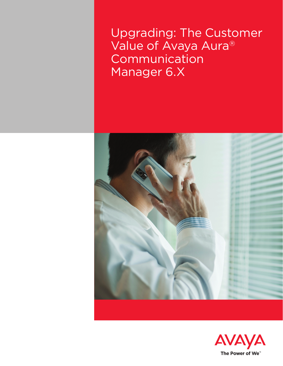Upgrading: The Customer Value of Avaya Aura<sup>®</sup> Communication Manager 6.X



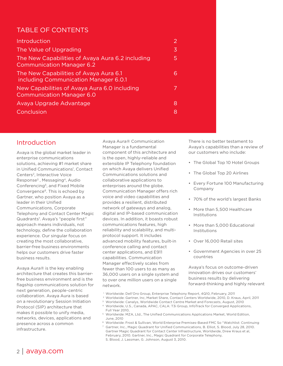# TABLE OF CONTENTS

| <b>Introduction</b>                                                                  | 2 |
|--------------------------------------------------------------------------------------|---|
| The Value of Upgrading                                                               | 3 |
| The New Capabilities of Avaya Aura 6.2 including<br><b>Communication Manager 6.2</b> | 5 |
| The New Capabilities of Avaya Aura 6.1<br>including Communication Manager 6.0.1      | 6 |
| New Capabilities of Avaya Aura 6.0 including<br><b>Communication Manager 6.0</b>     |   |
| Avaya Upgrade Advantage                                                              | 8 |
| Conclusion                                                                           | 8 |

## Introduction

Avaya is the global market leader in enterprise communications solutions, achieving #1 market share in Unified Communications<sup>1</sup>, Contact Centers2, Interactive Voice Response3 , Messaging4, Audio Conferencing<sup>5</sup>, and Fixed Mobile Convergence<sup>6</sup>. This is echoed by Gartner, who position Avaya as a leader in their Unified Communications, Corporate Telephony and Contact Center Magic Quadrants7 . Avaya's "people first" approach means individuals, not technology, define the collaboration experience. Our singular focus on creating the most collaborative, barrier-free business environments helps our customers drive faster business results.

Avaya Aura® is the key enabling architecture that creates this barrierfree business environment and is the flagship communications solution for next generation, people-centric collaboration. Avaya Aura is based on a revolutionary Session Initiation Protocol (SIP) architecture that makes it possible to unify media, networks, devices, applications and presence across a common infrastructure.

Avaya Aura® Communication Manager is a fundamental component of this architecture and is the open, highly-reliable and extensible IP Telephony foundation on which Avaya delivers Unified Communications solutions and collaborative applications to enterprises around the globe. Communication Manager offers rich voice and video capabilities and provides a resilient, distributed network of gateways and analog, digital and IP-based communication devices. In addition, it boasts robust communications features, high reliability and scalability, and multiprotocol support. It includes advanced mobility features, built-in conference calling and contact center applications, and E911 capabilities. Communication Manager effectively scales from fewer than 100 users to as many as 36,000 users on a single system and to over one million users on a single network.

There is no better testament to Avaya's capabilities than a review of our customers who include:

- The Global Top 10 Hotel Groups
- The Global Top 20 Airlines
- Every Fortune 100 Manufacturing Company
- 70% of the world's largest Banks
- More than 5,500 Healthcare Institutions
- More than 5,000 Educational Institutions
- Over 16,000 Retail sites
- Government Agencies in over 25 countries

Avaya's focus on outcome-driven innovation drives our customers' business results by delivering forward-thinking and highly relevant

- 
- 1 Worldwide: Dell'Oro Group, Enterprise Telephony Report, 4Q10, February, 2011<br><sup>2</sup> Worldwide: Gartner, Inc, Market Share, Contact Centers Worldwide, 2010, D. Kraus, April, 2011
- <sup>3</sup> Worldwide: Canalys, Worldwide Contact Centre Market and Forecasts, August, 2010

<sup>4</sup> Worldwide, U.S., Canada, APAC, CALA: T3i Group, InfoTrack for Converged Applications, Full Year 2010,

<sup>5</sup> Worldwide: MZA, Ltd., The Unified Communications Applications Market, World Edition, June, 2010

<sup>6</sup> Worldwide: Frost & Sullivan, World Enterprise Premises-Based FMC So "Watchlist: Continuing

<sup>7</sup> Gartner, Inc., Magic Quadrant for Unified Communications, B. Elliot, S. Blood, July 28, 2010. Gartner Magic Quadrant for Contact Center Infrastructure, Worldwide, Drew Kraus et al, February, 2010. Gartner, Inc., Magic Quadrant for Corporate Telephony, S. Blood, J. Lassman, G. Johnson, August 3, 2010.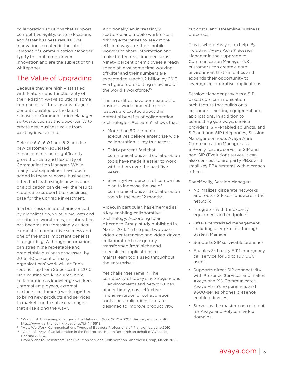<span id="page-2-0"></span>collaboration solutions that support competitive agility, better decisions and faster business results. The innovations created in the latest releases of Communication Manager typify this outcome-driven innovation and are the subject of this whitepaper.

## The Value of Upgrading

Because they are highly satisfied with features and functionality of their existing Avaya solutions, some companies fail to take advantage of benefits enabled by the latest releases of Communication Manager software, such as the opportunity to create new business value from existing investments.

Release 6.0, 6.0.1 and 6.2 provide new customer-requested enhancements and significantly grow the scale and flexibility of Communication Manager. While many new capabilities have been added in these releases, businesses often find that a single new feature or application can deliver the results required to support their business case for the upgrade investment.

In a business climate characterized by globalization, volatile markets and distributed workforces, collaboration has become an increasingly critical element of competitive success and one of the most important benefits of upgrading. Although automation can streamline repeatable and predictable business processes, by 2015, 40 percent of many organizations' work will be "nonroutine," up from 25 percent in 2010. Non-routine work requires more collaboration as knowledge workers (internal employees, external partners, customers) work together to bring new products and services to market and to solve challenges that arise along the way<sup>8</sup>.

Additionally, an increasingly scattered and mobile workforce is driving enterprises to seek more efficient ways for their mobile workers to share information and make better, real-time decisions. Ninety percent of employees already spend at least some time working off-site<sup>9</sup> and their numbers are expected to reach 1.2 billion by 2013 — a figure representing one-third of the world's workforce.<sup>10</sup>

These realities have permeated the business world and enterprise leaders are excited about the potential benefits of collaboration technologies. Research<sup>10</sup> shows that:

- More than 80 percent of executives believe enterprise wide collaboration is key to success.
- Thirty percent feel that communications and collaboration tools have made it easier to work with others over the past five years.
- Seventy-five percent of companies plan to increase the use of communications and collaboration tools in the next 12 months.

Video, in particular, has emerged as a key enabling collaborative technology. According to an Aberdeen Group study published in March 2011, "in the past two years, video-conferencing and video-driven collaboration have quickly transformed from niche and specialized applications to mainstream tools used throughout the enterprise."<sup>11</sup>

Yet challenges remain. The complexity of today's heterogeneous IT environments and networks can hinder timely, cost-effective implementation of collaboration tools and applications that are designed to improve productivity,

domains. <sup>8</sup> "Watchlist: Continuing Changes in the Nature of Work, 2010-2020," Gartner, August 2010, http://www.gartner.com/it/page.jsp?id=1416513

- <sup>9</sup> "How We Work: Communications Trends of Business Professionals," Plantronics, June 2010.
- <sup>10</sup> "Global Survey of Collaboration in the Enterprise," Kelton Research on behalf of Avanade, February 2010.
- <sup>11</sup> From Niche to Mainstream: The Evolution of Video Collaboration. Aberdeen Group, March 2011.

cut costs, and streamline business processes.

This is where Avaya can help. By including Avaya Aura® Session Manager in their upgrade to Communication Manager 6.X, customers can create a core environment that simplifies and expands their opportunity to leverage collaborative applications.

Session Manager provides a SIPbased core communication architecture that builds on a customer's existing equipment and applications. In addition to connecting gateways, service providers, SIP-enabled adjuncts, and SIP and non-SIP telephones, Session Manager connects Avaya Aura Communication Manager as a SIP-only feature server or SIP and non-SIP (Evolution) server. It can also connect to 3rd party PBXs and small key PBX systems within branch offices.

Specifically, Session Manager:

- Normalizes disparate networks and routes SIP sessions across the network
- Integrates with third-party equipment and endpoints
- Offers centralized management, including user profiles, through System Manager
- Supports SIP survivable branches
- Enables 3rd party E911 emergency call service for up to 100,000 users.
- Supports direct SIP connectivity with Presence Services and makes Avaya one-X® Communicator, Avaya Flare® Experience, and 9600-series phones presence enabled devices.
- Serves as the master control point for Avaya and Polycom video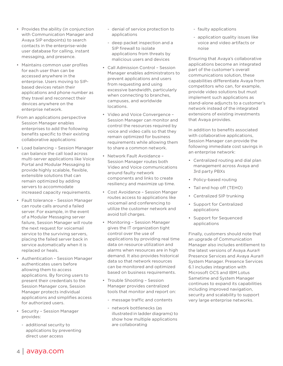- Provides the ability (in conjunction with Communication Manager and Avaya SIP endpoints) to search contacts in the enterprise-wide user database for calling, instant messaging, and presence.
- Maintains common user profiles for each user than can be accessed anywhere in the enterprise. Users moving to SIPbased devices retain their applications and phone number as they travel and reconnect their devices anywhere on the enterprise network.
- From an applications perspective Session Manager enables enterprises to add the following benefits specific to their existing collaborative applications:
- Load balancing Session Manager can balance the call load across multi-server applications like Voice Portal and Modular Messaging to provide highly scalable, flexible, extensible solutions that can remain optimized by adding servers to accommodate increased capacity requirements.
- Fault tolerance Session Manager can route calls around a failed server. For example, in the event of a Modular Messaging server failure, Session Manager will route the next request for voicemail service to the surviving servers, placing the failed server back in service automatically when it is replaced or heals.
- Authentication Session Manager authenticates users before allowing them to access applications. By forcing users to present their credentials to the Session Manager core, Session Manager protects individual applications and simplifies access for authorized users.
- Security Session Manager provides:
	- additional security to applications by preventing direct user access
- denial of service protection to applications
- deep packet inspection and a SIP firewall to isolate applications from threats by malicious users and devices
- Call Admission Control Session Manager enables administrators to prevent applications and users from requesting and using excessive bandwidth, particularly when connecting to branches. campuses, and worldwide locations.
- Video and Voice Convergence Session Manager can monitor and control the resources required by voice and video calls so that they remain optimized for business requirements while allowing them to share a common network.
- Network Fault Avoidance Session Manager routes both Video and Voice communications around faulty network components and links to create resiliency and maximize up time.
- Cost Avoidance Session Manger routes access to applications like voicemail and conferencing to utilize the customer network and avoid toll charges.
- Monitoring Session Manager gives the IT organization tight control over the use of applications by providing real time data on resource utilization and alarms when resources are in high demand. It also provides historical data so that network resources can be monitored and optimized based on business requirements.
- Trouble Shooting Session Manager provides centralized tools that monitor and report on:
	- message traffic and contents
	- network bottlenecks (as illustrated in ladder diagrams) to show how multiple applications are collaborating
- faulty applications
- application quality issues like voice and video artifacts or noise

Ensuring that Avaya's collaborative applications become an integrated part of the customer's overall communications solution, these capabilities differentiate Avaya from competitors who can, for example, provide video solutions but must implement such applications as stand-alone adjuncts to a customer's network instead of the integrated extensions of existing investments that Avaya provides.

In addition to benefits associated with collaborative applications, Session Manager can provide the following immediate cost savings in an enterprise network:

- Centralized routing and dial plan management across Avaya and 3rd party PBXs
- Policy-based routing
- Tail end hop off (TEHO)
- Centralized SIP trunking
- Support for Centralized applications
- Support for Sequenced applications

Finally, customers should note that an upgrade of Communication Manager also includes entitlement to the latest versions of Avaya Aura® Presence Services and Avaya Aura® System Manager. Presence Services 6.1 includes integration with Microsoft OCS and IBM Lotus Sametime and System Manager continues to expand its capabilities including improved navigation, security and scalability to support very large enterprise networks.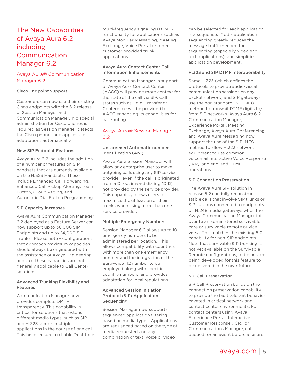# The New Capabilities of Avaya Aura 6.2 including Communication Manager 6.2

### Avaya Aura® Communication Manager 6.2

#### Cisco Endpoint Support

Customers can now use their existing Cisco endpoints with the 6.2 release of Session Manager and Communication Manager. No special administration for Cisco phones is required as Session Manager detects the Cisco phones and applies the adaptations automatically.

#### New SIP Endpoint Features

Avaya Aura 6.2 includes the addition of a number of features on SIP handsets that are currently available on the H.323 Handsets. These include Enhanced Call Forwarding, Enhanced Call Pickup Alerting, Team Button, Group Paging, and Automatic Dial Button Programming.

#### SIP Capacity Increases

Avaya Aura Communication Manager 6.2 deployed as a Feature Server can now support up to 36,000 SIP Endpoints and up to 24,000 SIP Trunks. Please note – configurations that approach maximum capacities should always be engineered with the assistance of Avaya Engineering and that these capacities are not generally applicable to Call Center solutions.

#### Advanced Trunking Flexibility and Features

Communication Manager now provides complete DMTF transparency. This capability is critical for solutions that extend different media types, such as SIP and H.323, across multiple applications in the course of one call. This helps ensure a reliable Dual-tone multi-frequency signaling (DTMF) functionality for applications such as Avaya Modular Messaging, Meeting Exchange, Voice Portal or other customer provided trunk applications.

#### Avaya Aura Contact Center Call Information Enhancements

Communication Manager in support of Avaya Aura Contact Center (AACC) will provide more context for the state of the call via SIP. Call states such as Hold, Transfer or Conference will be provided to AACC enhancing its capabilities for call routing.

### Avaya Aura® Session Manager 6.2

#### Unscreened Automatic number identification (ANI)

Avaya Aura Session Manager will allow any enterprise user to make outgoing calls using any SIP service provider; even if the call is originated from a Direct inward dialing (DID) not provided by the service provider. This capability allows users to maximize the utilization of their trunks when using more than one service provider.

#### Multiple Emergency Numbers

Session Manager 6.2 allows up to 10 emergency numbers to be administered per location. This allows compatibility with countries with more than one emergency number and the integration of the Euro-wide 112 number to be employed along with specific country numbers, and provides adaptation for local regulations.

#### Advanced Session Initiation Protocol (SIP) Application Sequencing

Session Manager now supports sequenced application filtering based on media type. Applications are sequenced based on the type of media requested and any combination of text, voice or video

can be selected for each application in a sequence. Media application sequencing greatly reduces the message traffic needed for sequencing (especially video and text applications), and simplifies application development.

#### H.323 and SIP DTMF Interoperability

Some H.323 (which defines the protocols to provide audio-visual communication sessions on any packet network) and SIP gateways use the non standard "SIP INFO" method to transmit DTMF digits to/ from SIP networks. Avaya Aura 6.2 Communication Manager, Experience Portal, Meeting Exchange, Avaya Aura Conferencing, and Avaya Aura Messaging now support the use of the SIP INFO method to allow H.323 network equipment to use common voicemail,Interactive Voice Response (IVR), and end-end DTMF operations.

#### SIP Connection Preservation

The Avaya Aura SIP solution in release 6.2 can fully reconstruct stable calls that involve SIP trunks or SIP stations connected to endpoints on H.248 media gateways when the Avaya Communication Manager fails over to an administered survivable core or survivable remote or vice versa. This matches the existing 6.0 capability for non-SIP endpoints. Note that survivable SIP trunking is not yet available on the Survivable Remote configurations, but plans are being developed for this feature to be delivered in the near future.

#### SIP Call Preservation

SIP Call Preservation builds on the connection preservation capability to provide the fault tolerant behavior coveted in critical network and contact center environments. For contact centers using Avaya Experience Portal, Interactive Customer Response (ICR), or Communications Manager, calls queued for an agent before a failure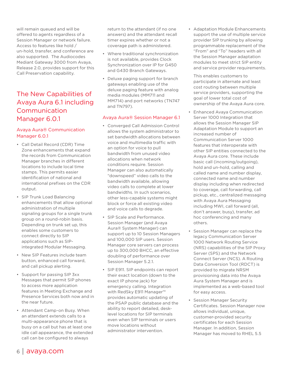<span id="page-5-0"></span>will remain queued and will be offered to agents regardless of a Session Manager or network failure. Access to features like hold / un-hold, transfer, and conference are also supported. The Audiocodes Mediant Gateway 3000 from Avaya, Release 2.0, provides support for this Call Preservation capability.

# The New Capabilities of Avaya Aura 6.1 including Communication Manager 6.0.1

## Avaya Aura® Communication Manager 6.0.1

- Call Detail Record (CDR) Time Zone enhancements that expand the records from Communication Manager branches in different locations to include local time stamps. This permits easier identification of national and international prefixes on the CDR output.
- SIP Trunk Load Balancing enhancements that allow optional administration of multiple signaling groups for a single trunk group on a round-robin basis. Depending on trunk set up, this enables some customers to connect directly to SIP applications such as SIPintegrated Modular Messaging.
- New SIP Features include team button, enhanced call forward, and call pickup alerting.
- Support for passing SIP 3xx Messages that permit SIP phones to access more application features in Meeting Exchange and Presence Services both now and in the near future.
- Attendant Camp-on Busy. When an attendant extends calls to a multi-appearance phone that is busy on a call but has at least one idle call appearance, the extended call can be configured to always

return to the attendant (if no one answers) and the attendant recall timer expires whether or not a coverage path is administered.

- Where traditional synchronization is not available, provides Clock Synchronization over IP for G450 and G430 Branch Gateways.
- Deluxe paging support for branch gateways enabling use of the deluxe paging feature with analog media modules (MM711 and MM714) and port networks (TN747 and TN797).

## Avaya Aura® Session Manager 6.1

- Converged Call Admission Control allows the system administrator to set bandwidth allocations between voice and multimedia traffic with an option for voice to pull bandwidth from unused video allocations when network conditions require. Session Manager can also automatically "downspeed" video calls to the bandwidth available, allowing video calls to complete at lower bandwidths. In such scenarios, other less-capable systems might block or force all existing video and voice calls to degrade.
- SIP Scale and Performance. Session Manager (and Avaya Aura® System Manager) can support up to 10 Session Managers and 100,000 SIP users. Session Manager core servers can process up to 300,000 BHCC, an effective doubling of performance over Session Manager 5.2.1.
- SIP E911. SIP endpoints can report their exact location (down to the exact IP phone jack) for emergency calling. Integration with RedSky E911 Manager™ provides automatic updating of the PSAP public database and the ability to report detailed, desklevel locations for SIP terminals even when SIP terminals or users move locations without administrator intervention.

• Adaptation Module Enhancements support the use of multiple service provider SIP trunking by allowing programmable replacement of the "From" and "To" headers with all the Session Manager adaptation modules to meet strict SIP entity and service provider requirements.

This enables customers to participate in alternate and least cost routing between multiple service providers, supporting the goal of lower total cost of ownership of the Avaya Aura core.

- Enhanced Avaya Communication Server 1000 Integration that allows the Session Manager SIP Adaptation Module to support an increased number of Communication Server 1000 features that interoperate with other SIP entities connected to the Avaya Aura core. These include basic call (incoming/outgoing), hold and un-hold, calling and called name and number display, connected name and number display including when redirected to coverage, call forwarding, call pickup, etc., centralized messaging with Avaya Aura Messaging including MWI, call forward (all, don't answer, busy), transfer, ad hoc conferencing and many others.
- Session Manager can replace the legacy Communication Server 1000 Network Routing Service (NRS) capabilities of the SIP Proxy Server (SPS) and the Network Connect Server (NCS). A Routing Data Conversion Tool (RDCT) is provided to migrate NRSM provisioning data into the Avaya Aura System Manager and is implemented as a web-based tool for easy access.
- Session Manager Security Certificates. Session Manager now allows individual, unique, customer-provided security certificates for each Session Manager. In addition, Session Manager has moved to RHEL 5.5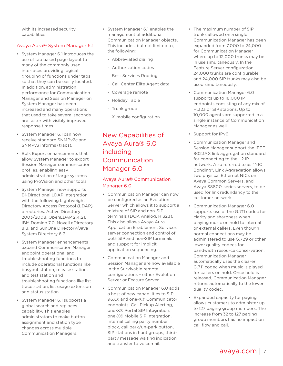<span id="page-6-0"></span>with its increased security capabilities.

## Avaya Aura® System Manager 6.1

- System Manager 6.1 introduces the use of tab based page layout to many of the commonly used interfaces providing logical grouping of functions under tabs so that they can be easily located. In addition, administration performance for Communication Manager and Session Manager on System Manager has been increased and many operations that used to take several seconds are faster with visibly improved response times.
- System Manager 6.1 can now receive standard SNMPv2c and SNMPv3 informs (traps).
- Bulk Export enhancements that allow System Manager to export Session Manager communication profiles, enabling easy administration of large systems using ProVision and other tools.
- System Manager now supports Bi-Directional LDAP Integration with the following Lightweight Directory Access Protocol (LDAP) directories: Active Directory 2003/2008, OpenLDAP 2.4.21, IBM Domino 7.0, Novell eDirectory 8.8, and SunOne Directory/Java System Directory 6.3.
- System Manager enhancements expand Communication Manager endpoint operational and troubleshooting functions to include operational functions like busyout station, release station, and test station and troubleshooting functions like list trace station, list usage extension and status station.
- System Manager 6.1 supports a global search and replaces capability. This enables administrators to make button assignment and station type changes across multiple Communication Managers.
- System Manager 6.1 enables the management of additional Communication Manager objects. This includes, but not limited to, the following:
	- Abbreviated dialing
	- Authorization codes
	- Best Services Routing
	- Call Center Elite Agent data
	- Coverage remote
	- Holiday Table
	- Trunk group
	- X-mobile configuration

# New Capabilities of Avaya Aura® 6.0 including Communication Manager 6.0

## Avaya Aura® Communication Manager 6.0

- Communication Manager can now be configured as an Evolution Server which allows it to support a mixture of SIP and non-SIP terminals (DCP, Analog, H.323). This also allows Avaya Aura Application Enablement Services server connection and control of both SIP and non-SIP terminals and support for implicit application sequencing.
- Communication Manager and Session Manager are now available in the Survivable remote configurations – either Evolution Server or Feature Server.
- Communication Manager 6.0 adds a host of new capabilities to SIP 96XX and one-X® Communicator endpoints: Call Pickup Alerting, one-X® Portal SIP Integration, one-X® Mobile SIP Integration, internal calling party number block, call park/un-park button, SIP stations in hunt groups, thirdparty message waiting indication and transfer to voicemail.
- The maximum number of SIP trunks allowed on a single Communication Manager has been expanded from 7,000 to 24,000 for Communication Manager where up to 12,000 trunks may be in use simultaneously. In the Feature Server configuration 24,000 trunks are configurable, and 24,000 SIP trunks may also be used simultaneously.
- Communication Manager 6.0 supports up to 18,000 IP endpoints consisting of any mix of H.323 or SIP stations. Up to 10,000 agents are supported in a single instance of Communication Manager as well.
- Support for IPv6.
- Communication Manager and Session Manager support the IEEE 802.1AX link aggregation standard for connecting to the L2 IP network. Also referred to as "NIC Bonding", Link Aggregation allows two physical Ethernet NICs on Avaya Common Servers, and Avaya S8800-series servers, to be used for link redundancy to the customer network.
- Communication Manager 6.0 supports use of the G.711 codec for clarity and sharpness when playing music on hold to internal or external callers. Even though normal connections may be administered to use G.729 or other lower quality codecs for bandwidth resource conservation, Communication Manager automatically uses the clearer G.711 codec when music is played for callers on hold. Once hold is released, Communication Manager returns automatically to the lower quality codec.
- Expanded capacity for paging allows customers to administer up to 127 paging group members. The increase from 32 to 127 paging group members has no impact on call flow and call.